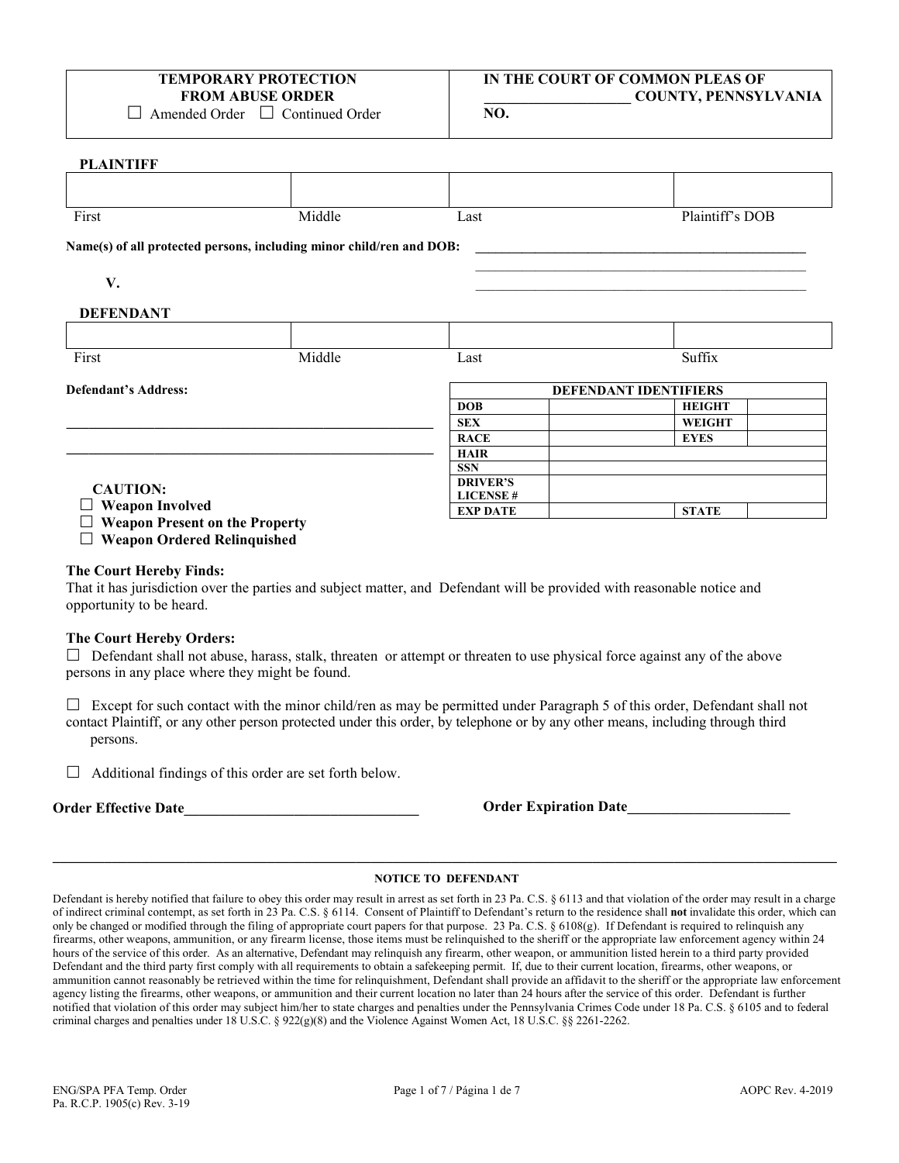# **TEMPORARY PROTECTION FROM ABUSE ORDER**

 $\Box$  Amended Order  $\Box$  Continued Order

# **IN THE COURT OF COMMON PLEAS OF \_\_\_\_\_\_\_\_\_\_\_\_\_\_\_\_\_\_\_\_ COUNTY, PENNSYLVANIA**

**NO.**

### **PLAINTIFF**

| First                                                                | Middle | Last                         | Plaintiff's DOB |
|----------------------------------------------------------------------|--------|------------------------------|-----------------|
| Name(s) of all protected persons, including minor child/ren and DOB: |        |                              |                 |
| V.                                                                   |        |                              |                 |
| <b>DEFENDANT</b>                                                     |        |                              |                 |
|                                                                      |        |                              |                 |
| First                                                                | Middle | Last                         | Suffix          |
| <b>Defendant's Address:</b>                                          |        | <b>DEFENDANT IDENTIFIERS</b> |                 |
|                                                                      |        | <b>DOB</b>                   | <b>HEIGHT</b>   |
|                                                                      |        | <b>SEX</b>                   | <b>WEIGHT</b>   |
|                                                                      |        | <b>RACE</b>                  | <b>EYES</b>     |
|                                                                      |        | <b>HAIR</b>                  |                 |
|                                                                      |        | <b>SSN</b>                   |                 |
| <b>CAUTION:</b>                                                      |        | <b>DRIVER'S</b>              |                 |
|                                                                      |        | <b>LICENSE#</b>              |                 |

- **Weapon Involved**
- **Weapon Present on the Property**
- **Weapon Ordered Relinquished**

## **The Court Hereby Finds:**

That it has jurisdiction over the parties and subject matter, and Defendant will be provided with reasonable notice and opportunity to be heard.

## **The Court Hereby Orders:**

 $\Box$  Defendant shall not abuse, harass, stalk, threaten or attempt or threaten to use physical force against any of the above persons in any place where they might be found.

- $\Box$  Except for such contact with the minor child/ren as may be permitted under Paragraph 5 of this order, Defendant shall not contact Plaintiff, or any other person protected under this order, by telephone or by any other means, including through third persons.
- $\Box$  Additional findings of this order are set forth below.

**Order Effective Date Date** *Order Expiration Date* 

**EXP DATE STATE**

# **\_\_\_\_\_\_\_\_\_\_\_\_\_\_\_\_\_\_\_\_\_\_\_\_\_\_\_\_\_\_\_\_\_\_\_\_\_\_\_\_\_\_\_\_\_\_\_\_\_\_\_\_\_\_\_\_\_\_\_\_\_\_\_\_\_\_\_\_\_\_\_\_\_\_\_\_\_\_\_\_\_\_\_\_\_\_\_\_\_\_\_\_\_\_\_\_\_\_\_\_\_\_\_\_\_\_ NOTICE TO DEFENDANT**

Defendant is hereby notified that failure to obey this order may result in arrest as set forth in 23 Pa. C.S. § 6113 and that violation of the order may result in a charge of indirect criminal contempt, as set forth in 23 Pa. C.S. § 6114. Consent of Plaintiff to Defendant's return to the residence shall **not** invalidate this order, which can only be changed or modified through the filing of appropriate court papers for that purpose. 23 Pa. C.S.  $\S 6108(g)$ . If Defendant is required to relinquish any firearms, other weapons, ammunition, or any firearm license, those items must be relinquished to the sheriff or the appropriate law enforcement agency within 24 hours of the service of this order. As an alternative, Defendant may relinquish any firearm, other weapon, or ammunition listed herein to a third party provided Defendant and the third party first comply with all requirements to obtain a safekeeping permit. If, due to their current location, firearms, other weapons, or ammunition cannot reasonably be retrieved within the time for relinquishment, Defendant shall provide an affidavit to the sheriff or the appropriate law enforcement agency listing the firearms, other weapons, or ammunition and their current location no later than 24 hours after the service of this order. Defendant is further notified that violation of this order may subject him/her to state charges and penalties under the Pennsylvania Crimes Code under 18 Pa. C.S. § 6105 and to federal criminal charges and penalties under 18 U.S.C. § 922(g)(8) and the Violence Against Women Act, 18 U.S.C. §§ 2261-2262.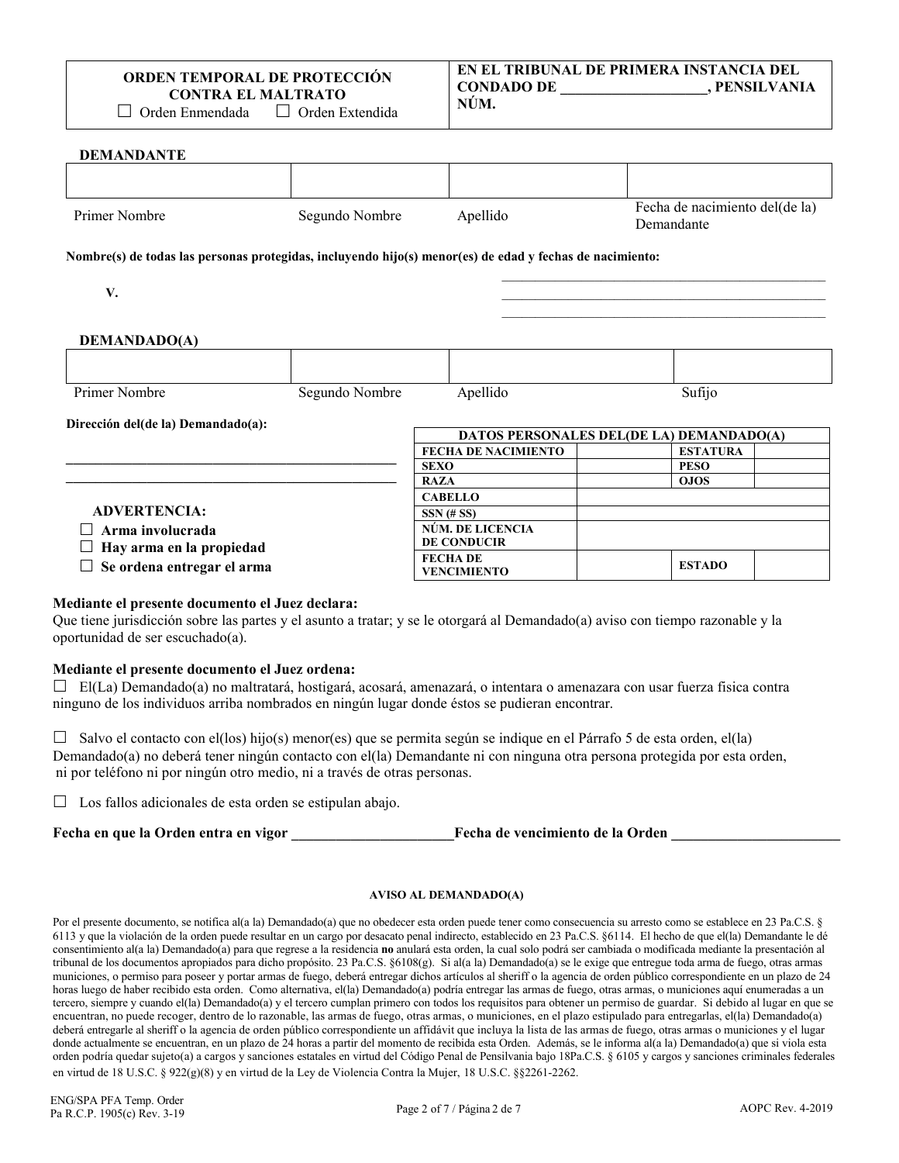# **ORDEN TEMPORAL DE PROTECCIÓN CONTRA EL MALTRATO**

□ Orden Enmendada □ Orden Extendida

### **EN EL TRIBUNAL DE PRIMERA INSTANCIA DEL CONDADO DE \_\_\_\_\_\_\_\_\_\_\_\_\_\_\_\_\_\_\_\_, PENSILVANIA NÚM.**

### **DEMANDANTE**

| Primer Nombre                                                                                            | Segundo Nombre | Apellido                   | Fecha de nacimiento del(de la)<br>Demandante |
|----------------------------------------------------------------------------------------------------------|----------------|----------------------------|----------------------------------------------|
| Nombre(s) de todas las personas protegidas, incluyendo hijo(s) menor(es) de edad y fechas de nacimiento: |                |                            |                                              |
| V.                                                                                                       |                |                            |                                              |
| <b>DEMANDADO(A)</b>                                                                                      |                |                            |                                              |
|                                                                                                          |                |                            |                                              |
| Primer Nombre                                                                                            | Segundo Nombre | Apellido                   | Sufijo                                       |
| Dirección del(de la) Demandado(a):                                                                       |                |                            |                                              |
|                                                                                                          |                |                            | DATOS PERSONALES DEL(DE LA) DEMANDADO(A)     |
|                                                                                                          |                | <b>FECHA DE NACIMIENTO</b> | <b>ESTATURA</b>                              |
|                                                                                                          |                | <b>SEXO</b>                | <b>PESO</b>                                  |

|                                                            | <b>SEXO</b>                           | <b>PESO</b>   |
|------------------------------------------------------------|---------------------------------------|---------------|
|                                                            | <b>RAZA</b>                           | <b>OJOS</b>   |
|                                                            | <b>CABELLO</b>                        |               |
| <b>ADVERTENCIA:</b>                                        | $SSN$ (# SS)                          |               |
| $\Box$ Arma involucrada<br>$\Box$ Hay arma en la propiedad | NÚM. DE LICENCIA<br>DE CONDUCIR       |               |
| $\Box$ Se ordena entregar el arma                          | <b>FECHA DE</b><br><b>VENCIMIENTO</b> | <b>ESTADO</b> |

### **Mediante el presente documento el Juez declara:**

Que tiene jurisdicción sobre las partes y el asunto a tratar; y se le otorgará al Demandado(a) aviso con tiempo razonable y la oportunidad de ser escuchado(a).

### **Mediante el presente documento el Juez ordena:**

 El(La) Demandado(a) no maltratará, hostigará, acosará, amenazará, o intentara o amenazara con usar fuerza fisica contra ninguno de los individuos arriba nombrados en ningún lugar donde éstos se pudieran encontrar.

 Salvo el contacto con el(los) hijo(s) menor(es) que se permita según se indique en el Párrafo 5 de esta orden, el(la) Demandado(a) no deberá tener ningún contacto con el(la) Demandante ni con ninguna otra persona protegida por esta orden, ni por teléfono ni por ningún otro medio, ni a través de otras personas.

 $\Box$  Los fallos adicionales de esta orden se estipulan abajo.

**Fecha en que la Orden entra en vigor \_\_\_\_\_\_\_\_\_\_\_\_\_\_\_\_\_\_\_\_\_\_Fecha de vencimiento de la Orden \_\_\_\_\_\_\_\_\_\_\_\_\_\_\_\_\_\_\_\_\_\_\_**

## **AVISO AL DEMANDADO(A)**

Por el presente documento, se notifica al(a la) Demandado(a) que no obedecer esta orden puede tener como consecuencia su arresto como se establece en 23 Pa.C.S. § 6113 y que la violación de la orden puede resultar en un cargo por desacato penal indirecto, establecido en 23 Pa.C.S. §6114. El hecho de que el(la) Demandante le dé consentimiento al(a la) Demandado(a) para que regrese a la residencia **no** anulará esta orden, la cual solo podrá ser cambiada o modificada mediante la presentación al tribunal de los documentos apropiados para dicho propósito. 23 Pa.C.S. §6108(g). Si al(a la) Demandado(a) se le exige que entregue toda arma de fuego, otras armas municiones, o permiso para poseer y portar armas de fuego, deberá entregar dichos artículos al sheriff o la agencia de orden público correspondiente en un plazo de 24 horas luego de haber recibido esta orden. Como alternativa, el(la) Demandado(a) podría entregar las armas de fuego, otras armas, o municiones aquí enumeradas a un tercero, siempre y cuando el(la) Demandado(a) y el tercero cumplan primero con todos los requisitos para obtener un permiso de guardar. Si debido al lugar en que se encuentran, no puede recoger, dentro de lo razonable, las armas de fuego, otras armas, o municiones, en el plazo estipulado para entregarlas, el(la) Demandado(a) deberá entregarle al sheriff o la agencia de orden público correspondiente un affidávit que incluya la lista de las armas de fuego, otras armas o municiones y el lugar donde actualmente se encuentran, en un plazo de 24 horas a partir del momento de recibida esta Orden. Además, se le informa al(a la) Demandado(a) que si viola esta orden podría quedar sujeto(a) a cargos y sanciones estatales en virtud del Código Penal de Pensilvania bajo 18Pa.C.S. § 6105 y cargos y sanciones criminales federales en virtud de 18 U.S.C. § 922(g)(8) y en virtud de la Ley de Violencia Contra la Mujer, 18 U.S.C. §§2261-2262.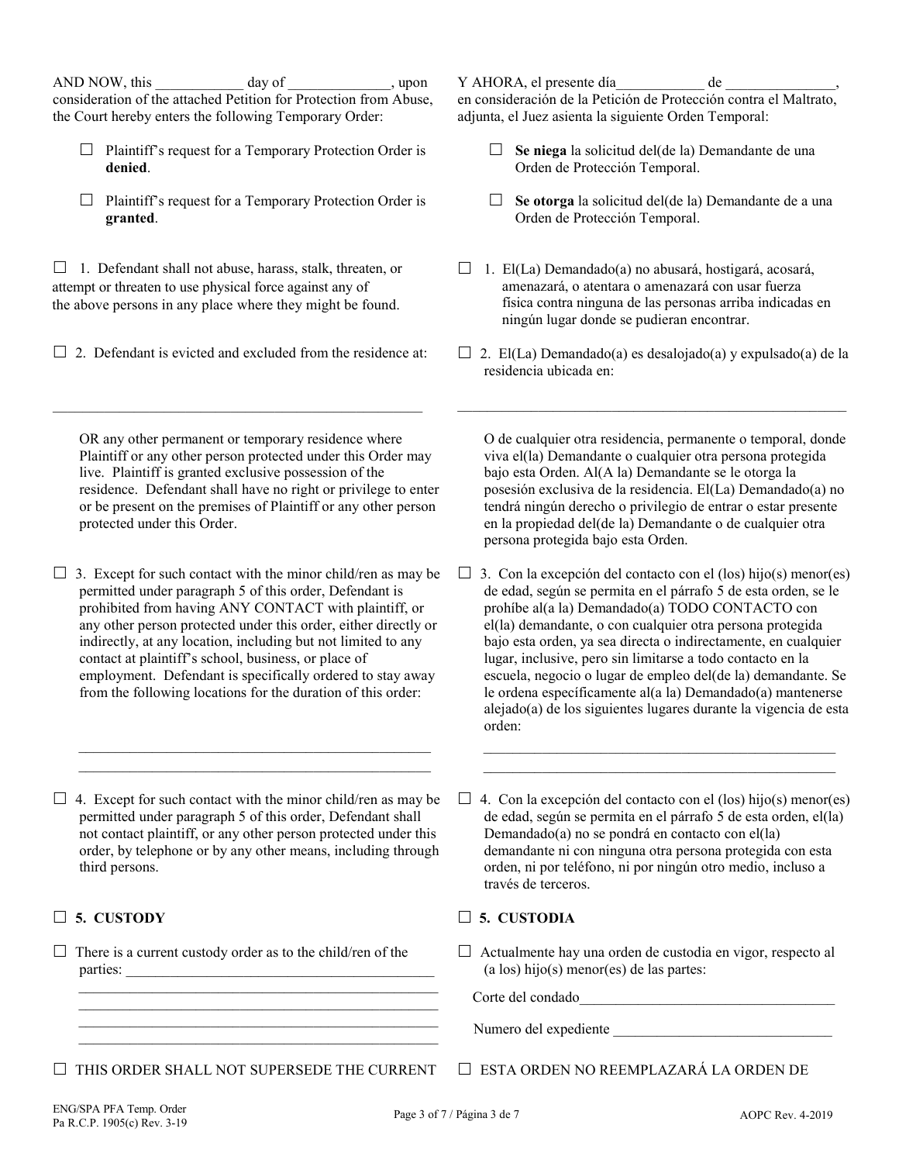AND NOW, this \_\_\_\_\_\_\_\_\_\_\_\_ day of \_\_\_\_\_\_\_\_\_\_\_, upon consideration of the attached Petition for Protection from Abuse, the Court hereby enters the following Temporary Order:

- $\Box$  Plaintiff's request for a Temporary Protection Order is **denied**.
- $\Box$  Plaintiff's request for a Temporary Protection Order is **granted**.

 $\Box$  1. Defendant shall not abuse, harass, stalk, threaten, or attempt or threaten to use physical force against any of the above persons in any place where they might be found.

 $\Box$  2. Defendant is evicted and excluded from the residence at:

 $\mathcal{L}_\text{max} = \mathcal{L}_\text{max} = \mathcal{L}_\text{max} = \mathcal{L}_\text{max} = \mathcal{L}_\text{max} = \mathcal{L}_\text{max} = \mathcal{L}_\text{max} = \mathcal{L}_\text{max} = \mathcal{L}_\text{max} = \mathcal{L}_\text{max} = \mathcal{L}_\text{max} = \mathcal{L}_\text{max} = \mathcal{L}_\text{max} = \mathcal{L}_\text{max} = \mathcal{L}_\text{max} = \mathcal{L}_\text{max} = \mathcal{L}_\text{max} = \mathcal{L}_\text{max} = \mathcal{$ 

OR any other permanent or temporary residence where Plaintiff or any other person protected under this Order may live. Plaintiff is granted exclusive possession of the residence. Defendant shall have no right or privilege to enter or be present on the premises of Plaintiff or any other person protected under this Order.

 $\Box$  3. Except for such contact with the minor child/ren as may be permitted under paragraph 5 of this order, Defendant is prohibited from having ANY CONTACT with plaintiff, or any other person protected under this order, either directly or indirectly, at any location, including but not limited to any contact at plaintiff's school, business, or place of employment. Defendant is specifically ordered to stay away from the following locations for the duration of this order:

 $\Box$  4. Except for such contact with the minor child/ren as may be permitted under paragraph 5 of this order, Defendant shall not contact plaintiff, or any other person protected under this order, by telephone or by any other means, including through third persons.

 $\mathcal{L}_\text{max} = \frac{1}{2} \sum_{i=1}^{n} \frac{1}{2} \sum_{i=1}^{n} \frac{1}{2} \sum_{i=1}^{n} \frac{1}{2} \sum_{i=1}^{n} \frac{1}{2} \sum_{i=1}^{n} \frac{1}{2} \sum_{i=1}^{n} \frac{1}{2} \sum_{i=1}^{n} \frac{1}{2} \sum_{i=1}^{n} \frac{1}{2} \sum_{i=1}^{n} \frac{1}{2} \sum_{i=1}^{n} \frac{1}{2} \sum_{i=1}^{n} \frac{1}{2} \sum_{i=1}^{n} \frac{1$  $\mathcal{L}_\text{max} = \frac{1}{2} \sum_{i=1}^{n} \frac{1}{2} \sum_{i=1}^{n} \frac{1}{2} \sum_{i=1}^{n} \frac{1}{2} \sum_{i=1}^{n} \frac{1}{2} \sum_{i=1}^{n} \frac{1}{2} \sum_{i=1}^{n} \frac{1}{2} \sum_{i=1}^{n} \frac{1}{2} \sum_{i=1}^{n} \frac{1}{2} \sum_{i=1}^{n} \frac{1}{2} \sum_{i=1}^{n} \frac{1}{2} \sum_{i=1}^{n} \frac{1}{2} \sum_{i=1}^{n} \frac{1$ 

 $\Box$  There is a current custody order as to the child/ren of the parties: \_\_\_\_\_\_\_\_\_\_\_\_\_\_\_\_\_\_\_\_\_\_\_\_\_\_\_\_\_\_\_\_\_\_\_\_\_\_\_\_\_\_

 $\mathcal{L}_\text{max}$  , and the set of the set of the set of the set of the set of the set of the set of the set of the set of the set of the set of the set of the set of the set of the set of the set of the set of the set of the  $\mathcal{L}_\text{max}$  , and the set of the set of the set of the set of the set of the set of the set of the set of the set of the set of the set of the set of the set of the set of the set of the set of the set of the set of the

 $\mathcal{L}_\text{max}$  , and the set of the set of the set of the set of the set of the set of the set of the set of the set of the set of the set of the set of the set of the set of the set of the set of the set of the set of the

Y AHORA, el presente día\_\_\_\_\_\_\_\_\_\_\_\_ de \_\_\_\_\_\_\_\_\_\_\_\_\_\_\_, en consideración de la Petición de Protección contra el Maltrato, adjunta, el Juez asienta la siguiente Orden Temporal:

- **Se niega** la solicitud del(de la) Demandante de una Orden de Protección Temporal.
- **Se otorga** la solicitud del(de la) Demandante de a una Orden de Protección Temporal.
- $\Box$  1. El(La) Demandado(a) no abusará, hostigará, acosará, amenazará, o atentara o amenazará con usar fuerza física contra ninguna de las personas arriba indicadas en ningún lugar donde se pudieran encontrar.
- $\Box$  2. El(La) Demandado(a) es desalojado(a) y expulsado(a) de la residencia ubicada en:

\_\_\_\_\_\_\_\_\_\_\_\_\_\_\_\_\_\_\_\_\_\_\_\_\_\_\_\_\_\_\_\_\_\_\_\_\_\_\_\_\_\_\_\_\_\_\_\_\_\_\_\_\_

O de cualquier otra residencia, permanente o temporal, donde viva el(la) Demandante o cualquier otra persona protegida bajo esta Orden. Al(A la) Demandante se le otorga la posesión exclusiva de la residencia. El(La) Demandado(a) no tendrá ningún derecho o privilegio de entrar o estar presente en la propiedad del(de la) Demandante o de cualquier otra persona protegida bajo esta Orden.

 $\Box$  3. Con la excepción del contacto con el (los) hijo(s) menor(es) de edad, según se permita en el párrafo 5 de esta orden, se le prohíbe al(a la) Demandado(a) TODO CONTACTO con el(la) demandante, o con cualquier otra persona protegida bajo esta orden, ya sea directa o indirectamente, en cualquier lugar, inclusive, pero sin limitarse a todo contacto en la escuela, negocio o lugar de empleo del(de la) demandante. Se le ordena específicamente al(a la) Demandado(a) mantenerse alejado(a) de los siguientes lugares durante la vigencia de esta orden:

 $\Box$  4. Con la excepción del contacto con el (los) hijo(s) menor(es) de edad, según se permita en el párrafo 5 de esta orden, el(la) Demandado(a) no se pondrá en contacto con el(la) demandante ni con ninguna otra persona protegida con esta orden, ni por teléfono, ni por ningún otro medio, incluso a través de terceros.

 $\mathcal{L}_\text{max} = \{ \mathcal{L}_\text{max} \mid \mathcal{L}_\text{max} \}$  $\mathcal{L}_\text{max} = \{ \mathcal{L}_\text{max} \mid \mathcal{L}_\text{max} \}$ 

## $\Box$  5. CUSTODY  $\Box$  5. CUSTODIA

 Actualmente hay una orden de custodia en vigor, respecto al (a los) hijo(s) menor(es) de las partes:

Corte del condado

Numero del expediente

 $\Box$  THIS ORDER SHALL NOT SUPERSEDE THE CURRENT  $\Box$  ESTA ORDEN NO REEMPLAZARÁ LA ORDEN DE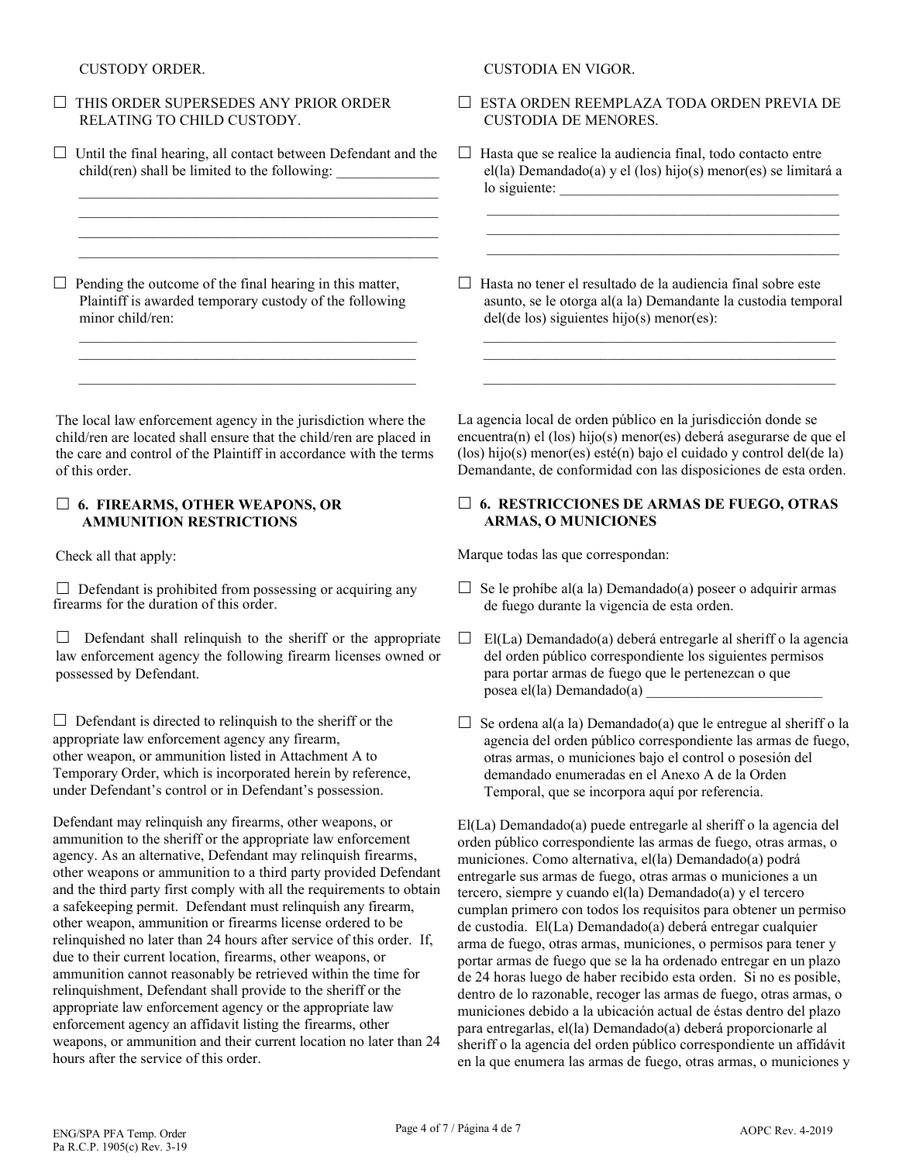# $\Box$  THIS ORDER SUPERSEDES ANY PRIOR ORDER RELATING TO CHILD CUSTODY.

 $\Box$  Until the final hearing, all contact between Defendant and the child(ren) shall be limited to the following:  $\mathcal{L}_\text{max}$  , and the set of the set of the set of the set of the set of the set of the set of the set of the set of the set of the set of the set of the set of the set of the set of the set of the set of the set of the

 $\mathcal{L}_\text{max}$  , and the set of the set of the set of the set of the set of the set of the set of the set of the set of the set of the set of the set of the set of the set of the set of the set of the set of the set of the

 $\mathcal{L}_\text{max}$  , and the set of the set of the set of the set of the set of the set of the set of the set of the set of the set of the set of the set of the set of the set of the set of the set of the set of the set of the

 $\mathcal{L}_\mathcal{L}$  , and the set of the set of the set of the set of the set of the set of the set of the set of the set of the set of the set of the set of the set of the set of the set of the set of the set of the set of th

 $\mathcal{L}_\text{max}$  and  $\mathcal{L}_\text{max}$  and  $\mathcal{L}_\text{max}$  and  $\mathcal{L}_\text{max}$  and  $\mathcal{L}_\text{max}$ 

 $\Box$  Pending the outcome of the final hearing in this matter, Plaintiff is awarded temporary custody of the following minor child/ren:

The local law enforcement agency in the jurisdiction where the child/ren are located shall ensure that the child/ren are placed in the care and control of the Plaintiff in accordance with the terms of this order.

## **6. FIREARMS, OTHER WEAPONS, OR AMMUNITION RESTRICTIONS**

Check all that apply:

 $\Box$  Defendant is prohibited from possessing or acquiring any firearms for the duration of this order.

 $\Box$  Defendant shall relinquish to the sheriff or the appropriate law enforcement agency the following firearm licenses owned or possessed by Defendant.

 $\Box$  Defendant is directed to relinquish to the sheriff or the appropriate law enforcement agency any firearm, other weapon, or ammunition listed in Attachment A to Temporary Order, which is incorporated herein by reference, under Defendant's control or in Defendant's possession.

Defendant may relinquish any firearms, other weapons, or ammunition to the sheriff or the appropriate law enforcement agency. As an alternative, Defendant may relinquish firearms, other weapons or ammunition to a third party provided Defendant and the third party first comply with all the requirements to obtain a safekeeping permit. Defendant must relinquish any firearm, other weapon, ammunition or firearms license ordered to be relinquished no later than 24 hours after service of this order. If, due to their current location, firearms, other weapons, or ammunition cannot reasonably be retrieved within the time for relinquishment, Defendant shall provide to the sheriff or the appropriate law enforcement agency or the appropriate law enforcement agency an affidavit listing the firearms, other weapons, or ammunition and their current location no later than 24 hours after the service of this order.

CUSTODY ORDER. CUSTODIA EN VIGOR.

- ESTA ORDEN REEMPLAZA TODA ORDEN PREVIA DE CUSTODIA DE MENORES.
- $\Box$  Hasta que se realice la audiencia final, todo contacto entre el(la) Demandado(a) y el (los) hijo(s) menor(es) se limitará a lo siguiente: \_\_\_\_\_\_\_\_\_\_\_\_\_\_\_\_\_\_\_\_\_\_\_\_\_\_\_\_\_\_\_\_\_\_\_\_\_\_

 $\overline{\phantom{a}}$  ,  $\overline{\phantom{a}}$  ,  $\overline{\phantom{a}}$  ,  $\overline{\phantom{a}}$  ,  $\overline{\phantom{a}}$  ,  $\overline{\phantom{a}}$  ,  $\overline{\phantom{a}}$  ,  $\overline{\phantom{a}}$  ,  $\overline{\phantom{a}}$  ,  $\overline{\phantom{a}}$  ,  $\overline{\phantom{a}}$  ,  $\overline{\phantom{a}}$  ,  $\overline{\phantom{a}}$  ,  $\overline{\phantom{a}}$  ,  $\overline{\phantom{a}}$  ,  $\overline{\phantom{a}}$  $\mathcal{L}=\sum_{i=1}^n\frac{1}{i!}\sum_{j=1}^n\frac{1}{j!}\sum_{j=1}^n\frac{1}{j!}\sum_{j=1}^n\frac{1}{j!}\sum_{j=1}^n\frac{1}{j!}\sum_{j=1}^n\frac{1}{j!}\sum_{j=1}^n\frac{1}{j!}\sum_{j=1}^n\frac{1}{j!}\sum_{j=1}^n\frac{1}{j!}\sum_{j=1}^n\frac{1}{j!}\sum_{j=1}^n\frac{1}{j!}\sum_{j=1}^n\frac{1}{j!}\sum_{j=1}^n\frac{1}{j!}\sum_{j=1$ 

 $\Box$  Hasta no tener el resultado de la audiencia final sobre este asunto, se le otorga al(a la) Demandante la custodia temporal del(de los) siguientes hijo(s) menor(es):

 $\mathcal{L}_\text{max} = \{ \mathcal{L}_\text{max} \mid \mathcal{L}_\text{max} \}$  $\mathcal{L}_\mathcal{L} = \{ \mathcal{L}_\mathcal{L} = \{ \mathcal{L}_\mathcal{L} = \{ \mathcal{L}_\mathcal{L} = \{ \mathcal{L}_\mathcal{L} = \{ \mathcal{L}_\mathcal{L} = \{ \mathcal{L}_\mathcal{L} = \{ \mathcal{L}_\mathcal{L} = \{ \mathcal{L}_\mathcal{L} = \{ \mathcal{L}_\mathcal{L} = \{ \mathcal{L}_\mathcal{L} = \{ \mathcal{L}_\mathcal{L} = \{ \mathcal{L}_\mathcal{L} = \{ \mathcal{L}_\mathcal{L} = \{ \mathcal{L}_\mathcal{$ 

 $\mathcal{L}_\text{max} = \frac{1}{2} \sum_{i=1}^{n} \frac{1}{2} \sum_{i=1}^{n} \frac{1}{2} \sum_{i=1}^{n} \frac{1}{2} \sum_{i=1}^{n} \frac{1}{2} \sum_{i=1}^{n} \frac{1}{2} \sum_{i=1}^{n} \frac{1}{2} \sum_{i=1}^{n} \frac{1}{2} \sum_{i=1}^{n} \frac{1}{2} \sum_{i=1}^{n} \frac{1}{2} \sum_{i=1}^{n} \frac{1}{2} \sum_{i=1}^{n} \frac{1}{2} \sum_{i=1}^{n} \frac{1$ 

La agencia local de orden público en la jurisdicción donde se encuentra(n) el (los) hijo(s) menor(es) deberá asegurarse de que el (los) hijo(s) menor(es) esté(n) bajo el cuidado y control del(de la) Demandante, de conformidad con las disposiciones de esta orden.

## **6. RESTRICCIONES DE ARMAS DE FUEGO, OTRAS ARMAS, O MUNICIONES**

Marque todas las que correspondan:

- $\Box$  Se le prohíbe al(a la) Demandado(a) poseer o adquirir armas de fuego durante la vigencia de esta orden.
- $\Box$  El(La) Demandado(a) deberá entregarle al sheriff o la agencia del orden público correspondiente los siguientes permisos para portar armas de fuego que le pertenezcan o que posea el(la) Demandado(a)  $\overline{\phantom{a}}$
- $\Box$  Se ordena al(a la) Demandado(a) que le entregue al sheriff o la agencia del orden público correspondiente las armas de fuego, otras armas, o municiones bajo el control o posesión del demandado enumeradas en el Anexo A de la Orden Temporal, que se incorpora aquí por referencia.

El(La) Demandado(a) puede entregarle al sheriff o la agencia del orden público correspondiente las armas de fuego, otras armas, o municiones. Como alternativa, el(la) Demandado(a) podrá entregarle sus armas de fuego, otras armas o municiones a un tercero, siempre y cuando el(la) Demandado(a) y el tercero cumplan primero con todos los requisitos para obtener un permiso de custodia. El(La) Demandado(a) deberá entregar cualquier arma de fuego, otras armas, municiones, o permisos para tener y portar armas de fuego que se la ha ordenado entregar en un plazo de 24 horas luego de haber recibido esta orden. Si no es posible, dentro de lo razonable, recoger las armas de fuego, otras armas, o municiones debido a la ubicación actual de éstas dentro del plazo para entregarlas, el(la) Demandado(a) deberá proporcionarle al sheriff o la agencia del orden público correspondiente un affidávit en la que enumera las armas de fuego, otras armas, o municiones y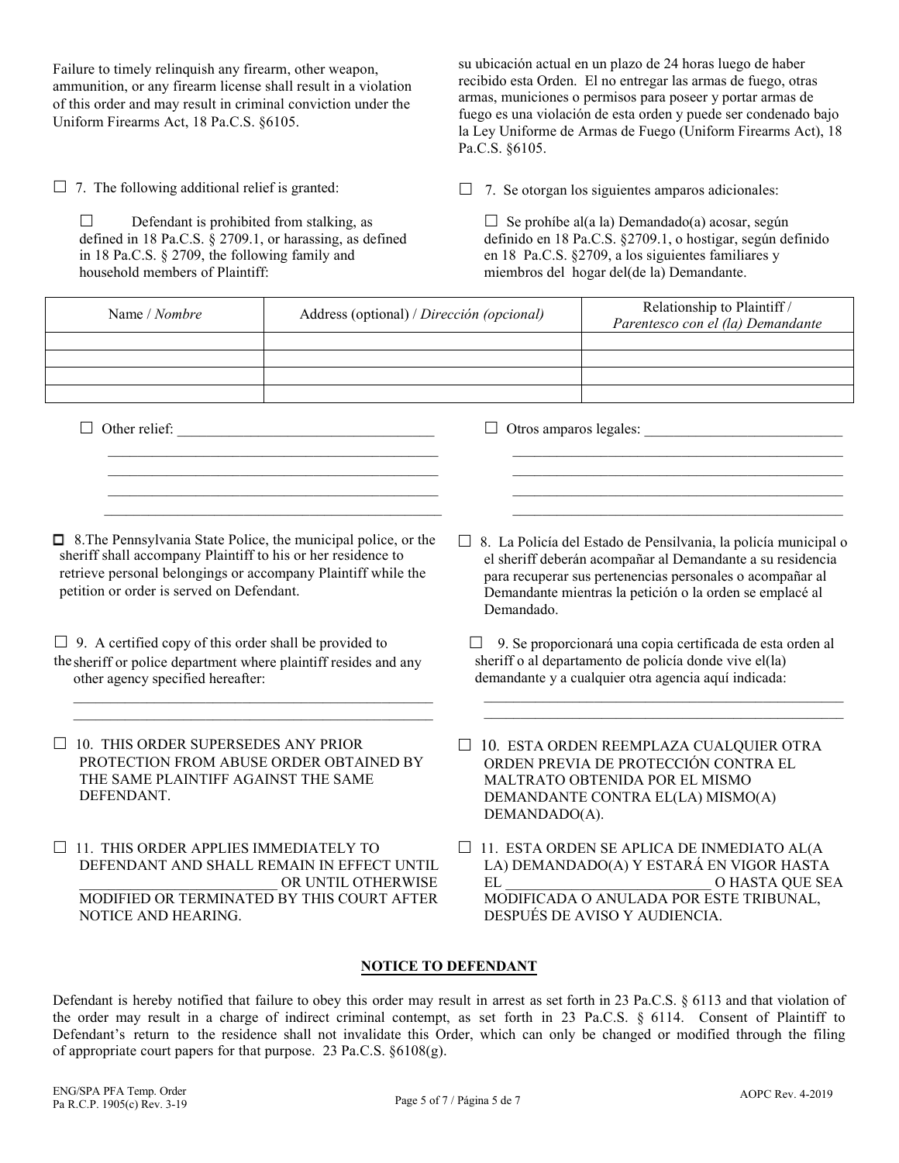Failure to timely relinquish any firearm, other weapon, ammunition, or any firearm license shall result in a violation of this order and may result in criminal conviction under the Uniform Firearms Act, 18 Pa.C.S. §6105.

 $\Box$  7. The following additional relief is granted:

 $\Box$  Defendant is prohibited from stalking, as defined in 18 Pa.C.S. § 2709.1, or harassing, as defined in 18 Pa.C.S. § 2709, the following family and household members of Plaintiff:

su ubicación actual en un plazo de 24 horas luego de haber recibido esta Orden. El no entregar las armas de fuego, otras armas, municiones o permisos para poseer y portar armas de fuego es una violación de esta orden y puede ser condenado bajo la Ley Uniforme de Armas de Fuego (Uniform Firearms Act), 18 Pa.C.S. §6105.

 $\Box$  7. Se otorgan los siguientes amparos adicionales:

 $\Box$  Se prohíbe al(a la) Demandado(a) acosar, según definido en 18 Pa.C.S. §2709.1, o hostigar, según definido en 18 Pa.C.S. §2709, a los siguientes familiares y miembros del hogar del(de la) Demandante.

| Name / Nombre | Address (optional) / Dirección (opcional) | Relationship to Plaintiff /<br>Parentesco con el (la) Demandante |
|---------------|-------------------------------------------|------------------------------------------------------------------|
|               |                                           |                                                                  |
|               |                                           |                                                                  |
|               |                                           |                                                                  |
|               |                                           |                                                                  |

 $\Box$  Other relief:

 $\Box$  8. The Pennsylvania State Police, the municipal police, or the sheriff shall accompany Plaintiff to his or her residence to retrieve personal belongings or accompany Plaintiff while the petition or order is served on Defendant.

 $\mathcal{L}=\underbrace{\mathcal{L}=\mathcal{L}=\mathcal{L}=\mathcal{L}=\mathcal{L}=\mathcal{L}=\mathcal{L}=\mathcal{L}=\mathcal{L}=\mathcal{L}=\mathcal{L}=\mathcal{L}=\mathcal{L}=\mathcal{L}=\mathcal{L}=\mathcal{L}=\mathcal{L}=\mathcal{L}=\mathcal{L}=\mathcal{L}=\mathcal{L}=\mathcal{L}=\mathcal{L}=\mathcal{L}=\mathcal{L}=\mathcal{L}=\mathcal{L}=\mathcal{L}=\mathcal{L}=\mathcal{L}=\mathcal{L}=\mathcal{L}=\mathcal{L}=\mathcal{L}=\mathcal{L}=\$  $\mathcal{L}_\text{max}$  , and the set of the set of the set of the set of the set of the set of the set of the set of the set of the set of the set of the set of the set of the set of the set of the set of the set of the set of the

 $\Box$  9. A certified copy of this order shall be provided to the sheriff or police department where plaintiff resides and any other agency specified hereafter:

 $\mathcal{L}_\mathcal{L} = \{ \mathcal{L}_\mathcal{L} = \{ \mathcal{L}_\mathcal{L} = \{ \mathcal{L}_\mathcal{L} = \{ \mathcal{L}_\mathcal{L} = \{ \mathcal{L}_\mathcal{L} = \{ \mathcal{L}_\mathcal{L} = \{ \mathcal{L}_\mathcal{L} = \{ \mathcal{L}_\mathcal{L} = \{ \mathcal{L}_\mathcal{L} = \{ \mathcal{L}_\mathcal{L} = \{ \mathcal{L}_\mathcal{L} = \{ \mathcal{L}_\mathcal{L} = \{ \mathcal{L}_\mathcal{L} = \{ \mathcal{L}_\mathcal{$ \_\_\_\_\_\_\_\_\_\_\_\_\_\_\_\_\_\_\_\_\_\_\_\_\_\_\_\_\_\_\_\_\_\_\_\_\_\_\_\_\_\_\_\_\_\_\_\_\_

- $\Box$  10. THIS ORDER SUPERSEDES ANY PRIOR PROTECTION FROM ABUSE ORDER OBTAINED BY THE SAME PLAINTIFF AGAINST THE SAME DEFENDANT.
- $\Box$  11. THIS ORDER APPLIES IMMEDIATELY TO DEFENDANT AND SHALL REMAIN IN EFFECT UNTIL \_\_\_\_\_\_\_\_\_\_\_\_\_\_\_\_\_\_\_\_\_\_\_\_\_\_\_ OR UNTIL OTHERWISE MODIFIED OR TERMINATED BY THIS COURT AFTER NOTICE AND HEARING.

 $\Box$  8. La Policía del Estado de Pensilvania, la policía municipal o el sheriff deberán acompañar al Demandante a su residencia para recuperar sus pertenencias personales o acompañar al Demandante mientras la petición o la orden se emplacé al Demandado.

 $\mathcal{L}=\frac{1}{2} \sum_{i=1}^{n} \frac{1}{2} \sum_{j=1}^{n} \frac{1}{2} \sum_{j=1}^{n} \frac{1}{2} \sum_{j=1}^{n} \frac{1}{2} \sum_{j=1}^{n} \frac{1}{2} \sum_{j=1}^{n} \frac{1}{2} \sum_{j=1}^{n} \frac{1}{2} \sum_{j=1}^{n} \frac{1}{2} \sum_{j=1}^{n} \frac{1}{2} \sum_{j=1}^{n} \frac{1}{2} \sum_{j=1}^{n} \frac{1}{2} \sum_{j=1}^{n} \frac{1}{2} \sum_{$ \_\_\_\_\_\_\_\_\_\_\_\_\_\_\_\_\_\_\_\_\_\_\_\_\_\_\_\_\_\_\_\_\_\_\_\_\_\_\_\_\_\_\_\_\_

 $\Box$  Otros amparos legales:  $\mathcal{L}=\frac{1}{2} \sum_{i=1}^{n} \frac{1}{2} \sum_{j=1}^{n} \frac{1}{2} \sum_{j=1}^{n} \frac{1}{2} \sum_{j=1}^{n} \frac{1}{2} \sum_{j=1}^{n} \frac{1}{2} \sum_{j=1}^{n} \frac{1}{2} \sum_{j=1}^{n} \frac{1}{2} \sum_{j=1}^{n} \frac{1}{2} \sum_{j=1}^{n} \frac{1}{2} \sum_{j=1}^{n} \frac{1}{2} \sum_{j=1}^{n} \frac{1}{2} \sum_{j=1}^{n} \frac{1}{2} \sum_{$ 

 $\Box$  9. Se proporcionará una copia certificada de esta orden al sheriff o al departamento de policía donde vive el(la) demandante y a cualquier otra agencia aquí indicada:

\_\_\_\_\_\_\_\_\_\_\_\_\_\_\_\_\_\_\_\_\_\_\_\_\_\_\_\_\_\_\_\_\_\_\_\_\_\_\_\_\_\_\_\_\_\_\_\_\_  $\mathcal{L}_\mathcal{L} = \{ \mathcal{L}_\mathcal{L} = \{ \mathcal{L}_\mathcal{L} = \{ \mathcal{L}_\mathcal{L} = \{ \mathcal{L}_\mathcal{L} = \{ \mathcal{L}_\mathcal{L} = \{ \mathcal{L}_\mathcal{L} = \{ \mathcal{L}_\mathcal{L} = \{ \mathcal{L}_\mathcal{L} = \{ \mathcal{L}_\mathcal{L} = \{ \mathcal{L}_\mathcal{L} = \{ \mathcal{L}_\mathcal{L} = \{ \mathcal{L}_\mathcal{L} = \{ \mathcal{L}_\mathcal{L} = \{ \mathcal{L}_\mathcal{$ 

- □ 10. ESTA ORDEN REEMPLAZA CUALQUIER OTRA ORDEN PREVIA DE PROTECCIÓN CONTRA EL MALTRATO OBTENIDA POR EL MISMO DEMANDANTE CONTRA EL(LA) MISMO(A) DEMANDADO(A).
- $\Box$  11. ESTA ORDEN SE APLICA DE INMEDIATO AL(A LA) DEMANDADO(A) Y ESTARÁ EN VIGOR HASTA EL  $\qquad \qquad \text{O HASTA OUE}$  SEA MODIFICADA O ANULADA POR ESTE TRIBUNAL, DESPUÉS DE AVISO Y AUDIENCIA.

## **NOTICE TO DEFENDANT**

Defendant is hereby notified that failure to obey this order may result in arrest as set forth in 23 Pa.C.S. § 6113 and that violation of the order may result in a charge of indirect criminal contempt, as set forth in 23 Pa.C.S. § 6114. Consent of Plaintiff to Defendant's return to the residence shall not invalidate this Order, which can only be changed or modified through the filing of appropriate court papers for that purpose. 23 Pa.C.S. §6108(g).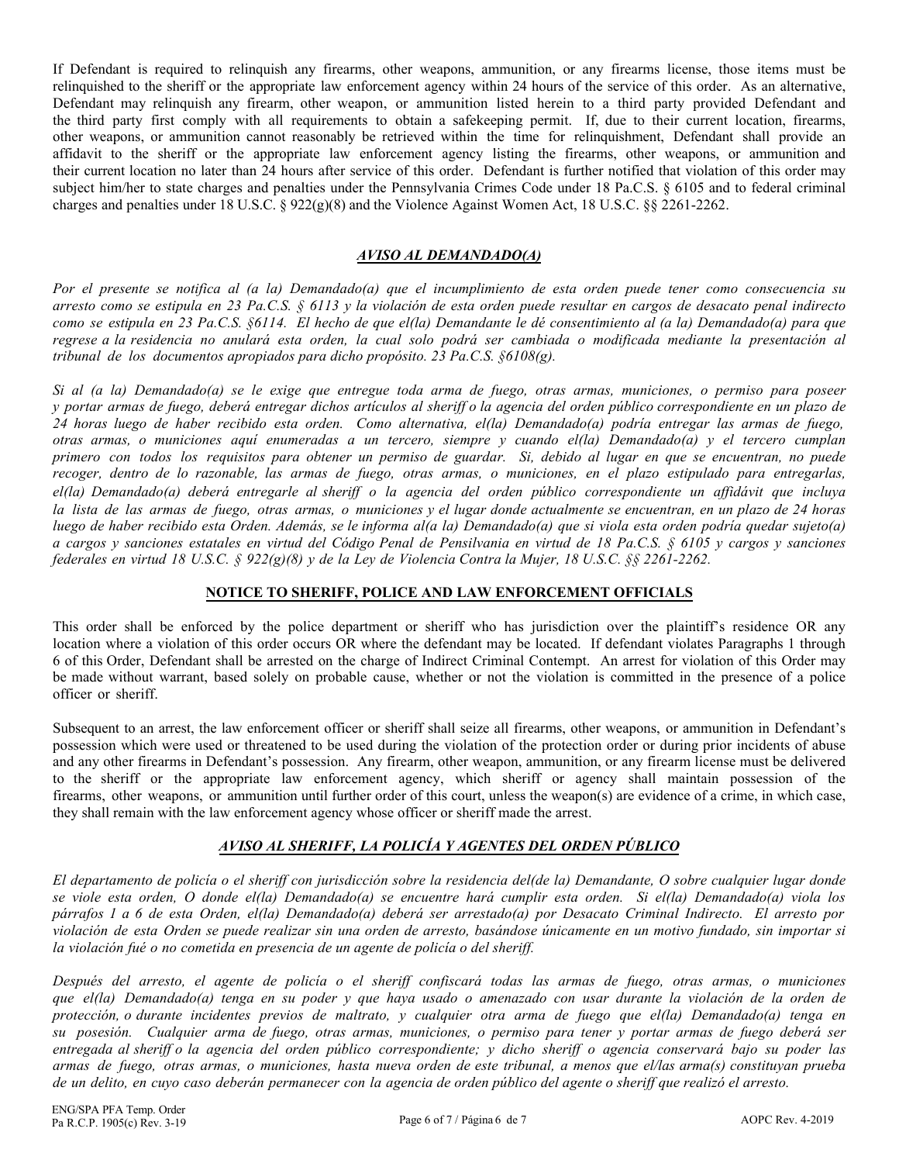If Defendant is required to relinquish any firearms, other weapons, ammunition, or any firearms license, those items must be relinquished to the sheriff or the appropriate law enforcement agency within 24 hours of the service of this order. As an alternative, Defendant may relinquish any firearm, other weapon, or ammunition listed herein to a third party provided Defendant and the third party first comply with all requirements to obtain a safekeeping permit. If, due to their current location, firearms, other weapons, or ammunition cannot reasonably be retrieved within the time for relinquishment, Defendant shall provide an affidavit to the sheriff or the appropriate law enforcement agency listing the firearms, other weapons, or ammunition and their current location no later than 24 hours after service of this order. Defendant is further notified that violation of this order may subject him/her to state charges and penalties under the Pennsylvania Crimes Code under 18 Pa.C.S. § 6105 and to federal criminal charges and penalties under 18 U.S.C. § 922(g)(8) and the Violence Against Women Act, 18 U.S.C. §§ 2261-2262.

# *AVISO AL DEMANDADO(A)*

Por el presente se notifica al (a la) Demandado(a) que el incumplimiento de esta orden puede tener como consecuencia su *arresto como se estipula en 23 Pa.C.S. § 6113 y la violación de esta orden puede resultar en cargos de desacato penal indirecto como se estipula en 23 Pa.C.S. §6114. El hecho de que el(la) Demandante le dé consentimiento al (a la) Demandado(a) para que regrese a la residencia no anulará esta orden, la cual solo podrá ser cambiada o modificada mediante la presentación al tribunal de los documentos apropiados para dicho propósito. 23 Pa.C.S. §6108(g).* 

Si al (a la) Demandado(a) se le exige que entregue toda arma de fuego, otras armas, municiones, o permiso para poseer *y portar armas de fuego, deberá entregar dichos artículos al sheriff o la agencia del orden público correspondiente en un plazo de*  24 horas luego de haber recibido esta orden. Como alternativa, el(la) Demandado(a) podría entregar las armas de fuego, otras armas, o municiones aquí enumeradas a un tercero, siempre y cuando el(la) Demandado(a) y el tercero cumplan primero con todos los requisitos para obtener un permiso de guardar. Si, debido al lugar en que se encuentran, no puede recoger, dentro de lo razonable, las armas de fuego, otras armas, o municiones, en el plazo estipulado para entregarlas, el(la) Demandado(a) deberá entregarle al sheriff o la agencia del orden público correspondiente un affidávit que incluya *la lista de las armas de fuego, otras armas, o municiones y el lugar donde actualmente se encuentran, en un plazo de 24 horas luego de haber recibido esta Orden. Además, se le informa al(a la) Demandado(a) que si viola esta orden podría quedar sujeto(a)*  a cargos y sanciones estatales en virtud del Código Penal de Pensilvania en virtud de 18 Pa.C.S. § 6105 y cargos y sanciones *federales en virtud 18 U.S.C. § 922(g)(8) y de la Ley de Violencia Contra la Mujer, 18 U.S.C. §§ 2261-2262.*

## **NOTICE TO SHERIFF, POLICE AND LAW ENFORCEMENT OFFICIALS**

This order shall be enforced by the police department or sheriff who has jurisdiction over the plaintiff's residence OR any location where a violation of this order occurs OR where the defendant may be located. If defendant violates Paragraphs 1 through 6 of this Order, Defendant shall be arrested on the charge of Indirect Criminal Contempt. An arrest for violation of this Order may be made without warrant, based solely on probable cause, whether or not the violation is committed in the presence of a police officer or sheriff.

Subsequent to an arrest, the law enforcement officer or sheriff shall seize all firearms, other weapons, or ammunition in Defendant's possession which were used or threatened to be used during the violation of the protection order or during prior incidents of abuse and any other firearms in Defendant's possession. Any firearm, other weapon, ammunition, or any firearm license must be delivered to the sheriff or the appropriate law enforcement agency, which sheriff or agency shall maintain possession of the firearms, other weapons, or ammunition until further order of this court, unless the weapon(s) are evidence of a crime, in which case, they shall remain with the law enforcement agency whose officer or sheriff made the arrest.

# *AVISO AL SHERIFF, LA POLICÍA Y AGENTES DEL ORDEN PÚBLICO*

*El departamento de policía o el sheriff con jurisdicción sobre la residencia del(de la) Demandante, O sobre cualquier lugar donde*  se viole esta orden, O donde el(la) Demandado(a) se encuentre hará cumplir esta orden. Si el(la) Demandado(a) viola los párrafos 1 a 6 de esta Orden, el(la) Demandado(a) deberá ser arrestado(a) por Desacato Criminal Indirecto. El arresto por *violación de esta Orden se puede realizar sin una orden de arresto, basándose únicamente en un motivo fundado, sin importar si la violación fué o no cometida en presencia de un agente de policía o del sheriff.* 

Después del arresto, el agente de policía o el sheriff confiscará todas las armas de fuego, otras armas, o municiones *que el(la) Demandado(a) tenga en su poder y que haya usado o amenazado con usar durante la violación de la orden de*  protección, o durante incidentes previos de maltrato, y cualquier otra arma de fuego que el(la) Demandado(a) tenga en *su posesión. Cualquier arma de fuego, otras armas, municiones, o permiso para tener y portar armas de fuego deberá ser*  entregada al sheriff o la agencia del orden público correspondiente; y dicho sheriff o agencia conservará bajo su poder las *armas de fuego, otras armas, o municiones, hasta nueva orden de este tribunal, a menos que el/las arma(s) constituyan prueba de un delito, en cuyo caso deberán permanecer con la agencia de orden público del agente o sheriff que realizó el arresto.*